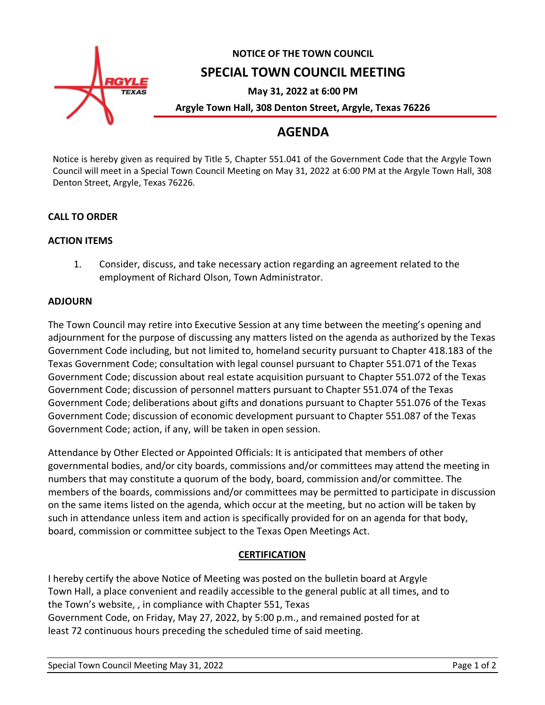

# **AGENDA**

Notice is hereby given as required by Title 5, Chapter 551.041 of the Government Code that the Argyle Town Council will meet in a Special Town Council Meeting on May 31, 2022 at 6:00 PM at the Argyle Town Hall, 308 Denton Street, Argyle, Texas 76226.

# **CALL TO ORDER**

### **ACTION ITEMS**

1. Consider, discuss, and take necessary action regarding an agreement related to the employment of Richard Olson, Town Administrator.

### **ADJOURN**

The Town Council may retire into Executive Session at any time between the meeting's opening and adjournment for the purpose of discussing any matters listed on the agenda as authorized by the Texas Government Code including, but not limited to, homeland security pursuant to Chapter 418.183 of the Texas Government Code; consultation with legal counsel pursuant to Chapter 551.071 of the Texas Government Code; discussion about real estate acquisition pursuant to Chapter 551.072 of the Texas Government Code; discussion of personnel matters pursuant to Chapter 551.074 of the Texas Government Code; deliberations about gifts and donations pursuant to Chapter 551.076 of the Texas Government Code; discussion of economic development pursuant to Chapter 551.087 of the Texas Government Code; action, if any, will be taken in open session.

Attendance by Other Elected or Appointed Officials: It is anticipated that members of other governmental bodies, and/or city boards, commissions and/or committees may attend the meeting in numbers that may constitute a quorum of the body, board, commission and/or committee. The members of the boards, commissions and/or committees may be permitted to participate in discussion on the same items listed on the agenda, which occur at the meeting, but no action will be taken by such in attendance unless item and action is specifically provided for on an agenda for that body, board, commission or committee subject to the Texas Open Meetings Act.

# **CERTIFICATION**

I hereby certify the above Notice of Meeting was posted on the bulletin board at Argyle Town Hall, a place convenient and readily accessible to the general public at all times, and to the Town's website, , in compliance with Chapter 551, Texas Government Code, on Friday, May 27, 2022, by 5:00 p.m., and remained posted for at least 72 continuous hours preceding the scheduled time of said meeting.